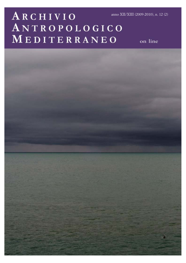# ARCHIVIO ANTROPOLOGICO MEDITERRANEO

anno XII/XIII (2009-2010), n. 12 (2)

on line

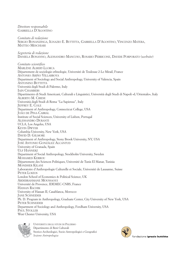*Direttore responsabile* GABRIELLA D'AGOSTINO *Comitato di redazione* SERGIO BONANZINGA, IGNAZIO E. BUTTITTA, GABRIELLA D'AGOSTINO, VINCENZO MATERA, MATTEO MESCHIARI *Segreteria di redazione* DANIELA BONANNO, ALESSANDRO MANCUSO, ROSARIO PERRICONE, DAVIDE PORPORATO (*website*) *Comitato scientifico* MARLÈNE ALBERT-LLORCA Département de sociologie-ethnologie, Université de Toulouse 2-Le Mirail, France ANTONIO ARIÑO VILLARROYA Department of Sociology and Social Anthropology, University of Valencia, Spain ANTONINO BUTTITTA Università degli Studi di Palermo, Italy IAIN CHAMBERS Dipartimento di Studi Americani, Culturali e Linguistici, Università degli Studi di Napoli «L'Orientale», Italy ALBERTO M. CIRESE Università degli Studi di Roma "La Sapienza", Italy JEFFREY E. COLE Department of Anthropology, Connecticut College, USA JOÃO DE PINA-CABRAL Institute of Social Sciences, University of Lisbon, Portugal ALESSANDRO DURANTI UCLA, Los Angeles, USA KEVIN DWYER Columbia University, New York, USA DAVID D. GILMORE Department of Anthropology, Stony Brook University, NY, USA JOSÉ ANTONIO GONZÁLEZ ALCANTUD University of Granada, Spain ULF HANNERZ Department of Social Anthropology, Stockholm University, Sweden MOHAMED KERROU Département des Sciences Politiques, Université de Tunis El Manar, Tunisia MONDHER KILANI Laboratoire d'Anthropologie Culturelle et Sociale, Université de Lausanne, Suisse PETER LOIZOS London School of Economics & Political Science, UK ABDERRAHMANE MOUSSAOUI Université de Provence, IDEMEC-CNRS, France HASSAN RACHIK University of Hassan II, Casablanca, Morocco JANE SCHNEIDER Ph. D. Program in Anthropology, Graduate Center, City University of New York, USA PETER SCHNEIDER Department of Sociology and Anthropology, Fordham University, USA PAUL STOLLER West Chester University, USA



UNIVERSITÀ DEGLI STUDI DI PALERMO Dipartimento di Beni Culturali Storico-Archeologici, Socio-Antropologici e Geografici *Sezione Antropologica*

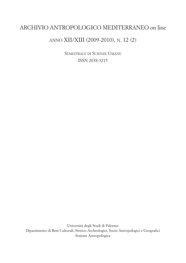# ARCHIVIO ANTROPOLOGICO MEDITERRANEO on line

# ANNO XII/XIII (2009-2010), N. 12 (2)

SEMESTRALE DI SCIENZE UMANE ISSN 2038-3215

Università degli Studi di Palermo Dipartimento di Beni Culturali, Storico-Archeologici, Socio-Antropologici e Geografici Sezione Antropologica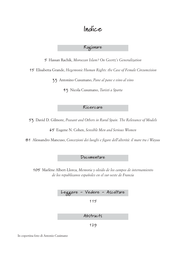**Indice**

# **Ragionare**

**5** Hassan Rachik, *Moroccan Islam? On Geertz's Generalization*

**15** Elisabetta Grande, *Hegemonic Human Rights: the Case of Female Circumcision*

**33** Antonino Cusumano, *Pane al pane e vino al vino*

**43** Nicola Cusumano, *Turisti a Sparta*

# **Ricercare**

**53** David D. Gilmore, *Peasant and Others in Rural Spain. The Relevance of Models*

**65** Eugene N. Cohen, *Sensible Men and Serious Women*

**81** Alessandro Mancuso, *Concezioni dei luoghi e figure dell'alterità: il mare tra i Wayuu*

**Documentare**

**105** Marlène Albert-Llorca, *Memoria y olvido de los campos de internamiento de los republicanos españoles en el sur oeste de Francia*

**Leggere - Vedere - Ascoltare**

## **115**

**Abstracts**

**129**

In copertina foto di Antonio Cusimano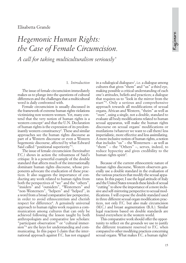Elisabetta Grande

# *Hegemonic Human Rights: the Case of Female Circumcision. A call for taking multiculturalism seriously*\*

# 1. *Introduction*

The issue of female circumcision immediately makes us to plunge into the questions of cultural differences and the challenges that a multicultural word is daily confronted with.

Female circumcision is usually discussed in the framework of extreme human rights violations victimizing non western women. Yet, many contend that the very notion of human rights is a western concept<sup>1</sup> and that the U.N. Declaration of human rights is the expression of its predominantly western constituency<sup>2</sup>. These and similar approaches see the human rights discourse as part of a Western discourse or even a Western hegemonic discourse, affected by what Edward Said called "positional superiority"<sup>3</sup>.

The issue of female circumcision (hereinafter F.C.) shows in action the robustness of Said's critique. It is a powerful example of the double standard that affects much of the internationally dominant human rights discourse, whose proponents advocate the eradication of these practices. It also suggests the importance of conducting any work related to human rights from both the perspectives of "we" and the "others", "insiders" and "outsiders", "Westerners" and "non-Westerners", "helpers" and "helped", in a word from a broad comparative law perspective, in order to avoid ethnocentrism and cherish respect for difference<sup>4</sup>. A genuinely universal approach to human rights work requires a communication among cultures that can only be achieved following the lesson taught by both anthropologists and comparative law scholars: "participant observation"<sup>5</sup> or "cultural immersion"6 are the keys for understanding and communicating. In this paper I claim that the international approach against F.C. has not engaged

in a «dialogical dialogue»7 , i.e. a dialogue among cultures that gives "them" and "us" a third eye, making possible a critical understanding of each one's attitudes, beliefs and practices; a dialogue that requires us to "look in the mirror from the start"8. Only a serious and comprehensive approach towards all modifications of sexual organs, African and Western, "theirs" as well as "ours", using a single, not a double, standard to evaluate all body modifications related to human sexual apparatus, will make the human rights discourse on sexual organs' modifications or mutilations (whatever we want to call them) less imperialistic, more effective and less assimilating. A more inclusive notion of human rights, a notion that includes "us" – the Westerners – as well as "them" – the "Others" –, serves, indeed, to reduce hypocrisy and gives credibility to the human rights spirit<sup>9</sup>.

Because of the current ethnocentric nature of human rights discourse, Western observers generally use a double standard in the evaluation of the various practices that modify the sexual apparatus. In this paper, I use the legal attitude of Italy and the United States towards these kinds of sexual "cutting" to show the importance of a more inclusive and self-mirroring perspective to sexual modifications. I will expose the double standard used in three different sexual organ modification practices, not only F.C. but also male circumcision (M.C.) and breast augmentation (B.A.). Similar legal reactions based on double standards are found everywhere in the western world.

This comparative work should offer the opportunity to reflect on the grounds we use to justify the different treatment reserved to F.C. when compared to other modifying practices concerning sexual organs. What makes F.C. a human rights'

**Ragionare**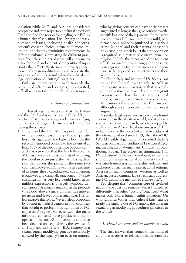violation while M.C. and B.A. are considered acceptable and even respectable cultural practices? Trying to find the reason for singling-out F.C. as a human rights' violation, I will briefly address a number of issues, including health concerns, patient's consent (choice), sexual fulfillment limitation, and beauty-femininity requirements in different cultures. Comparing the different practices from these points of view, will allow me to argue for the abandonment of the positional superiority that affects Westerners in their approach to sexual organ modifications and advocate the adoption of a single standard in the ethical and legal evaluation of "cutting" practices.

Only an integrative approach towards the plurality of cultures and practices, it is suggested, will allow us to take multiculturalism seriously.

### 2. *Some comparative data*

In describing the reactions that the Italian and the U.S. legal systems have to three different practices that in various ways end up in modifying human sexual organs, let me consider the following three cases:

- 1. In Italy and the U.S., M.C. is performed, for no therapeutic reason, in public or private hospitals right after the baby is born (in the second mentioned country to the extent of at least  $60\%$  of the newborn male population)<sup>10</sup> and it is a practice that the law fully accepts. M.C., as everyone knows, consists of removing the foreskin or prepuce, the natural sheath of skin that covers the penis. In the same two countries, however, F.C., even the less extreme of its forms, the so called *Sunnah* circumcision, is outlawed and criminally sanctioned<sup>11</sup>. *Sunnah* circumcision, as very few would know, in its mildest expression is a largely symbolic circumcision that entails a small cut in the prepuce (the hood above a girl's clitoris). It removes no tissue and leaves only a small scar. It is far less invasive than M.C. Nevertheless, proposals by doctors at medical centers in both countries that sought to perform this light form of F.C. at parents' request (or even with the girl's informed consent) have produced a major uproar of the anti-F.C. movements and have been deemed unacceptable by the law itself<sup>12</sup>.
- 2. In Italy and in the U.S., B.A. surgery is a sexual organ modifying practice generously allowed by the legal system even on minors,

who by giving consent can have their breasts augmented as long as they give consent together with but one of their parents. In the same two countries F.C., no matter how mild, performed on a minor is punished as a serious crime. Minors' and their parents' consent is no excuse, nor is their belief that the operation is required as a matter of custom, ritual, or religion. In Italy, the minor age of the recipient of F.C., no matter how strongly she consents, is an aggravating factor that increases the sentence to be imposed on perpetrators and their accomplices.

3. Finally, in Italy and in some U.S. States, but not at the Federal level (thanks to African immigrant women activists that strongly opposed a situation in which adult immigrant women would have been treated as legal minors), an adult woman, i.e. a woman over 18, cannot validly consent to F.C. surgery although she can consent to have her breast augmented.

A similar legal framework is nowadays found everywhere in the Western world, and it already started its spreading march, as a token paid to civilization, in African legal systems as well. F.C. in fact, became the object of a massive attack at the international level since 1979, when the WHO (World Health Organization) sponsored the first Seminar on Harmful Traditional Practices Affecting the Health of Women and Children, in Karthoum, Sudan. The efforts in eliminating F.C. ("eradication" is the term employed) earned the support of the international community and F.C. was later framed as a human rights violation and addressed as such in many international settings. As a result many countries, Western as well as African, passed criminal laws specifically addressing F.C. within the mentioned framework $13$ .

Yet, despite this "common core of civilized nations" the question remains: why is F.C. treated differently than other "cutting" practices? What makes only F.C. a human rights violation? On what grounds (other than cultural bias) can we justify the singling-out of F.C. among the different sexual organ modifying procedures practiced in the world?

## 3. *Health concerns and the double standard*

The first answer that comes to the mind of an unbiased observer relates to health concerns.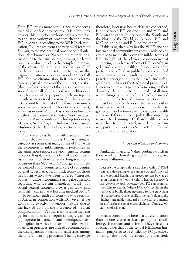Does F.C. raises more serious health concerns than M.C. or B.A. procedures? It is difficult to answer this question without paying attention to the large variety of practices that the term F.C. involves. According to the WHO's classification, F.C. ranges from the very mild form of *Sunnah*, to the most radical practice of infibulation (also known as Pharaonic circumcision). According to the same source, however, the latter practice – which involves the complete removal of the clitoris, labia minora, and part or all of the labia majora, then suturing to narrow the vaginal introitus – accounts for only 15% of all F.C.. *Sunnah* circumcision, in its various forms (total or partial removal of the prepuce), excision (that involves excision of the prepuce with excision of part or all of the clitoris) – and clitoridectomy (excision of the prepuce and clitoris together with partial or total excision of the labia minora) account for the rest of the female circumcisions that are practiced in Africa (in 28 countries), as well as in some Middle East countries (including the Oman, Yemen, the United Arab Emirates) and some Asian countries (including Indonesia, Malaysia, Sri Lanka, and India – where a small Muslim sect, the Daudi Bohra, practice clitoridectomy).

Acknowledging that it is with a great approximation that we can address F.C. as a unitary category, it seems that many forms of F.C., with the exception of infibulation, if performed in the same non-septic, safe and hygienic setting of a good hospital, would not entail greater health risks in terms of short-term and long-term complications than M.C. or B.A.14. Surgery routinely performed in our countries in case of congenital adrenal hyperplasia, i.e. clitoridectomy for those newborns who have been labeled "intersex babies" – while incidentally raising the question regarding why we can blamelessly satisfy our social sexual taxonomy by a genital organ removal –, can prove at least the medical point<sup>15</sup>.

To be sure, health concerns today are serious in Africa in connection with F.C. (even if we don't know exactly how serious they are, due to the lack of data on the incidence of medical complications)16. Yet this is so because they are performed in unsafe, septic settings, with no appropriate instruments and techniques. Lack of hospitals in Africa and lack of medicalization of African practices, are indeed accountable for the discrepancies in terms of health risks among the different cutting practices. The big cleavage

therefore, insofar as health risks are concerned, is not between F.C. on one side and M.C. and B.A. on the other, but between the South and the North of the World, i.e. between F.C. and M.C. on one side and B.A. on the other<sup>17</sup>.

If this is so, then why has the WHO and the international community tenaciously resisted any attempt to medicalize even the milder forms of F.C., in light of the obvious consequence of enhancing the adverse effects of F.C. on African girls' and women's health<sup>18</sup>? A total ban on the performance of F.C. in public hospitals coupled with criminalization, results only in driving the practice underground, to the unsafe and unhygienic conditions of the traditional procedures. It moreover prevents parents from bringing their damaged daughters to a medical installation when things go wrong after a badly managed circumcision for fear of criminal sanctions.

Justifications for the desire to eradicate rather than medicalize F.C. practices seem therefore to go beyond, and at times even to disregard, health concerns. Other and more politically compelling reasons for banning F.C. than health worries need then to be detected, in order to explain why just F.C. and not also M.C. or B.A. is framed as a human rights violation.

## 4. *Sexual pleasure and control*

Anika Rahman and Nahid Toubia's words in their work on female genital mutilation, are extremely illuminating:

Because the complications associated with FC/FGM can have devastating effects upon a woman's physical and emotional health, this procedure can be viewed as an infringement of the right to health. *But even in the absence of such complications*, FC compromises the right to health. Where FC/FGM results in the removal of bodily tissue necessary for the enjoyment of a satisfying and safe sex life, a woman's right to the 'highest attainable standard of physical and mental health' has been compromised (Rahman, Toubia 2000: 27) (emphasis mine).

Health concerns are here of a different nature than the one related to death, pain, physical suffering, discomfort and so forth. They relate to a specific issue: that of the sexual fulfillment limitation, purported to be entailed by F.C. practices. Through the book the concept is clarified.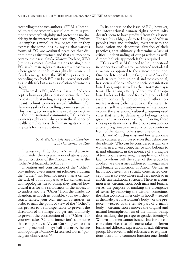According to the two authors, «FGM is 'intended' to reduce women's sexual desire, thus promoting women's virginity and protecting marital fidelity, in the interest of male sexuality» (*Ibidem*: 6) (emphasis mine). A few pages earlier they express the same idea by saying that various forms of F.C. are «cultural practices that discriminate against women and that are 'meant to control their sexuality'» (*Ibidem*: Preface, XIV) (emphasis mine). Similar reasons to single out F.C. as a human rights violation are almost everywhere given in the human rights literature and clearly emerge from the WHO's perspective, according to which F.C. can be viewed not only as a health risk but also as a violation of women's rights<sup>19</sup>.

What makes F.C., addressed as a unified concept, a human rights violation seems therefore to be its understanding as a patriarchal practice meant to limit women's sexual fulfillment for the men's sake of controlling women's sexuality. This is why, according to the usual perspective in the international community, F.C. violates women's rights and why, even in the absence of health complications, the human rights community calls for its eradication.

### 5. *A Western Selective Explanation of the Circumcision Rite*

In an essay on F.C., Obioma Nnaemeka wrote: «Ultimately, the circumcision debate is about the construction of the African woman as the 'Other'» (Nnaemeka 2001: 179).

Invention and construction of the "Other" play, indeed, a very important role here. Studying the "Other" has been for more than a century the task of both comparative law scholars and anthropologists. In so doing, they learned how crucial it is for the seriousness of the endeavor to understand the "Other" from the inside. To abandon, as much as possible, your own theoretical lenses, your own mental categories, in order to gain the point of view of the "Other", has proven to be indispensable to prevent the distortion of the image you get and ultimately to prevent the construction of the "Other" for your own sake. "Cultural immersion" is the name that comparativist Vivian Curran gives to this working method today; half a century before anthropologist Malinowski referred to it as "participant observation"20.

In its address of the issue of F.C., however, the international human rights community doesn't seem to have profited from this lesson. The result is a highly distorted image of African peoples lives and attitudes, together with the banalization and decontextualization of their practices, that ultimately determine a lack of critical understanding of our practices as well. A more holistic approach is thus required.

F.C. as well as M.C. need to be understood in connection with a group-centered socio-legal structure as opposed to the state-centered one. One needs to consider, in fact, that in Africa the modern state, both colonial and post-colonial, has been unable to defeat the social organization based on groups as well as their normative systems. The strong vitality of traditional groupbased rules and the need for each group's legal system, constantly competing with other normative systems (other groups or the state), to asserts itself as an autonomous ruling power, explain the existence of cultural group-imposed rules that tend to define who belongs to the group and who does not. By enforcing these rules upon its members, the group gains acceptance and legitimacy as an autonomous center in front of the state or others group systems.

F.C. and M.C. thus exist and find a rationale in the cultural group-based rules that define gender identity. Who can be considered a man or a woman in a given group, hence who belongs to it, and ultimately, in the absence of a principle of territoriality governing the application of the law, to whom will the rules of the group be applied, are the issues addressed through male and female circumcision in Africa. Gender in fact is not a given, is a socially constructed concept: this is so everywhere and very much so in all African traditional societies. There, as a common trait, circumcision, both male and female, serves the purpose of marking the divergence of sexes: by removing the clitoris (sometimes the labia too, sometimes only its hood) – viewed as the male part of a woman's body – or the prepuce – viewed as the female part of a man's body – circumcision removes the original and natural hermaphroditism of the human being, thus marking the passage to gender identity<sup>21</sup>. Women and men cannot be such but for the circumcision rite, that of course takes different forms and different expressions in each different group. Moreover, to add robustness to explanations based on a common function one should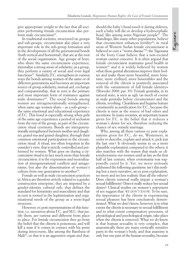give appropriate weight to the fact that all societies performing female circumcision also perform male circumcision $^{22}$ .

In traditional societies, structured on groups and sub-groups, circumcision also plays a very important role in the sub-group formation and in the development of all the generational bonds (both vertical and horizontal), that are at the root of the social organization. Age groups of boys, who share the same circumcision experience, internalize a strong sense of solidarity; as a group, they perform a variety of social and even legal functions<sup>23</sup>. Similarly, F.C. strengthens in various ways the bonds among women of the same or of different generations and becomes an important source of group solidarity, mutual aid, exchange and companionship, that in turn is the primary and most important form of resistance against male dominance<sup>24</sup>. The social bonds among women are intragenerationally strengthened, when same age women share – as a sub-group – the same emotional and educational experience of F.C. This bond is especially strong when girls of the same age experience a period of seclusion from the rest of the group, as part of the circumcision ritual ceremony. Bonds are intergenerationally strengthened between mother and daughter, grand-ma and grand-daughter, through their common emotional participation in the circumcision ritual. A ritual, too often forgotten in the outsider's view, that is strictly controlled and performed by women. What goes on during a circumcision ritual is in fact much more than female circumcision: it is the expression and neutralization of intergenerational conflicts and antagonisms, but also the dissemination of women's culture from one generation to another<sup>25</sup>.

Female as well as male circumcision practices in Africa are therefore strictly related to a gender construction enterprise, they are imposed by a gender-identity cultural rule, that defines the standard for femininity and masculinity and that in turn is rooted in the legitimization and organizational needs of the group as a socio-legal structure.

However, ex post representations of this function, i.e. narratives about F.C. and M.C. that justify them, are various and different from place to place. For female circumcision they go from the belief that the clitoris is poisonous, and will kill a man if it comes in contact with his penis during intercourse, like among the Bambara of Mali<sup>26</sup>, or that it is an aggressive organ and that,

should the baby's head touch it during delivery, such a baby will die or develop a hydrocephalic head, like among some Nigerian people<sup>27</sup>. The Mandingo, like many other populations, believe that circumcision enhances fertility<sup>28</sup>; in rural areas of Western Sudan female circumcision is believed to cure a "worm disease"29; the Tagouana of the Ivory Coast believe that a non-excised woman cannot conceive. It is often argued that female circumcision maintains good health in women<sup>30</sup> and it is widely believed by women «that these genital alterations improve their bodies and make them more beautiful, more feminine, more civilized, more honorable» and the removal of the clitoris is positively associated with the «attainment of full female identity» (Shweder 2000: par. 30). Female genitalia, in its natural state, is seen as ugly (as much of course as male genitalia before circumcision) and the clitoris, revolting. Cleanliness and hygiene feature consistently as justification for F.C., because the clitoris is seen as the source of bad odors and secretions. In many societies, an important reason given for F.C. is the belief that it reduces a woman's desire for sex, therefore reducing the chance of sex outside marriage.

Why, among all these various ex post explanations given for F.C., do we, Westerners, in order to describe, explain and attack it, pick just the last one? It obviously seems to us a more plausible explanation compared to the others; it also matches with the reason that made us clitoridectomize our women until as late as the first half of last century, when erotomania was supposedly cured by it. Yet, we never seriously addressed the following questions: isn't this nothing but a mere narrative, an ex post explanation, no more and no less realistic than all the others? Does clitoris removal really impair a woman's sexual fulfillment? Does it really reduce her sexual desire? Clinical studies on women's enjoyment of sex suggest that: WE DON'T KNOW. To be sure, the importance of the clitoris in experiencing sexual pleasure has been conclusively demonstrated. What we don't know, however, is to what extent the clitoris is necessary to sexual fulfillment and to what extent compensatory processes, of physiological and psychological origin, take place when the clitoris is removed. What we do know is that human sexuality is very complex, that anatomically there are many erotically sensitive parts in the woman's body, and that anatomy is only but one part of the human sexuality, because

**Ragionare**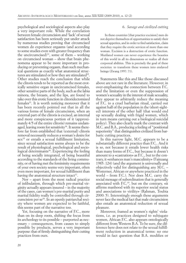psychological and sociological aspects also play a very important role. While the correlation between female circumcision and 'lack' of sexual satisfaction has been seriously put under attack by numerous studies proving that circumcised women do experience orgasms (and according to some studies even with greater frequency than the uncircumcised)<sup>31</sup>, some of them – working on circumcised woman – show that brain phenomena appear to be more important in producing or preventing orgasm, than such mechanical questions as exactly what anatomical structures are stimulated or how they are stimulated  $32$ . Other studies reach the conclusion that while the clitoris tends to be reported as the most erotically sensitive organ in uncircumcised females, other sensitive parts of the body, such as the labia minora, the breasts, and the lips, are found to take over this erotic function in clitoridectomized females<sup>33</sup>. It is worth noticing moreover that it has been recently pointed out that in all the various forms of female circumcision, when an external part of the clitoris is excised, an internal and more conspicuous portion of it (approximately 4/5 of the entire clitoris) remains undamaged, leaving room for sensitivity<sup>34</sup>. It seems therefore far from established that (external) clitoris removal necessarily reduces a woman's desire for sex<sup>35</sup> or entails a sexual fulfillment limitation, since sexual satisfaction seems always to be the result of physiological, psychological and sociological determinants<sup>36</sup>. Experiencing the feeling of being socially integrated, of being beautiful according to the standards of the living community, or of having met the femininity requirements of your own society seems very important, often even more important, for sexual fulfillment than having the anatomical structure intact<sup>37</sup>.

Nor – apart from the most radical practice of infibulation, through which pre-marital virginity actually appears insured – in the majority of the cases, can women's pre-marital purity and marital fidelity really be controlled through circumcision per se<sup>38</sup>. In an openly patriarchal society where women are expected to be faithful, this seems part of the narrative too.

Yet, focusing on the narrative of F.C., more than on its deep roots, shifting the focus from its archeology to its possible – purported as necessary – consequences, from causes to simply possible by products, serves a very important purpose: that of firmly distinguishing their cutting practices from ours.

# 6. *Savage and civilized cutting*

In these countries [that practice excision] men do not deprive themselves of opportunities to satisfy their sexual appetites, and in order to find satisfaction, claim that they require the erotic services of more than one woman. Excision is a destruction of erotic function. Mutilated women can never experience the beauties of this world in all its dimensions or realize all their corporeal abilities. This is precisely the goal of these societies: to transform these women into enslaved beings (Zwang 1997: 71).

Statements like this and like those discussed above are not rare in the literature. However, in over-emphasizing the connection between F.C. and the limitation or even the suppression of women's sexuality in the interest of male sexuality, they appear to arbitrarily reduce the meaning of F.C. to a cruel barbarian ritual, carried out against half of the population in the (short-sighted) interests of the other half (that would end up sexually dealing with frigid women, which in turn means carrying out a biological suicidal policy). They also clearly mark the contrast with M.C. and B.A., producing a feeling of "positional superiority" that distinguishes civilized from barbaric cutting practices.

In this narrow light, M.C. appears to be a substantially different practice than F.C.. And it is so, not because it entails lower health risks than many forms of F.C., but because it doesn't amount to a «castration» as F.C., but to the contrary, it «enhances man's masculinity» (Fainzang 1985: 124) (and the argument is universally and objectively valid for distinguishing any M.C. – Westerner, African or anywhere practiced in the world – from F.C.). Nor does M.C. carry the social message of subordination that is generally associated with F.C.<sup>39</sup>, but on the contrary, «it affirms manhood with its superior social status and associations to virility» (Rahman, Toubia 2000: 5). Interestingly enough these arguments never face the medical fact that male circumcision also entails an anatomical reduction of sexual pleasure.

Moreover, framed as women's rights' violations, i.e. as practices designed to subjugate women, African F.C. also appears ontologically different from Western B.A. To be sure, the difference here does not relate to the sexual fulfillment reduction in anatomical terms: no one would in fact question that B.A. modifies or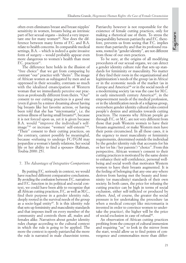often even eliminates breast and breast nipples' sensitivity in women, breasts being an intrinsic part of her sexual organs – indeed a very important one for many women<sup>40</sup>. Nor does the difference between many forms of F.C. and B.A. relate to health concerns. In comparable medical settings, B.A. – which is indeed a quite invasive form of surgery – would probably appear even more dangerous to women's health than most  $F.C.$  practices<sup>41</sup>.

The difference here holds in the illusion of "free choice" that we get from comparing by contrast "our" practice with "theirs". The image of African women as subjugated by men and as oppressed in their sexuality, contrasts so much with the idealized emancipation of Western woman that we immediately perceive our practices as profoundly different from theirs. "Our" consent to our cutting practices is a good one (even if given by a minor dreaming about having big breasts like her favorite actress, or having been told that she has "micromastia", i.e. the serious illness of having small breasts)<sup>42</sup>, because it is not forced upon us, yet it is given because B.A. would "improve the individual's selfimage"43 or increase "women' self-esteem"44. "Their" consent to their cutting practices, on the contrary, cannot possibly be meaningful, because «refusing to undergo FC/FGM may jeopardize a woman's family relations, her social life or her ability to find a spouse» (Rahman, Toubia 2000: 25).

## 7. *The Advantages of Integrative Comparisons*

By putting F.C. seriously in context, we would have reached different comparative conclusions. By avoiding the confusion between F.C. narratives and F.C. function in its political and social context, we could have been able to recognize that all African cutting practices, F.C. as well as M.C., find their purpose in a gender identity rule, deeply rooted in the survival needs of the group as a socio-legal entity45. It is this identity rule that sets up femininity and masculinity standards and that imposes itself on every member of the community and controls them all, males and females alike. Narratives about gender identity rules change according to the cultural context in which the rule is going to be applied. The more the context is openly patriarchal the more the rule is narrated in male chauvinist terms.

Patriarchy however is not responsible for the existence of female cutting practices, only for making a rhetorical use of them. To stress the inseparability between patriarchy and F.C. therefore, prevents us from seeing that F.C. implies more than patriarchy and that its profound reasons, rooted in "gender identity"*,* are not different from those of our own practices.

To be sure, at the origins of all modifying procedures of our sexual organs, we can detect a gender identity culture rule that sets up standards for femininity or masculinity. No matter if they find their roots in the organizational and legitimization's needs of the group (as in Africa) or in the economic needs of the market (as in Europe and America)46 or in the social needs of a modernizing society (as was the case for M.C. in early nineteenth century America) $47$ , in the empowerment needs of the medical profession, or in the identification needs of a religious group, everywhere gender identity cultural rules control people's desires and attitudes towards cutting practices. The reasons why African people go through F.C. or M.C. are not very different from those that push Western women to have their breasts augmented, or make Western men have their penis circumcised. In all these cases, it is the urgency to meet masculinity or femininity requirements, determined outside the individual by the gender identity rule that accounts for his or her (or his / her parents') "choice". From this perspective, African women's consent to their cutting practices is motivated by the same desire to enhance their self-confidence, personal wellbeing and social worth that motivates Western women to have their breasts augmented. It is the feeling of belonging that any-one any-where derives from having met the beauty and femininity (or masculinity) standards of their own society. In both cases, the price for refusing the cutting practice can be high in terms of social exclusion, either self-inflicted or produced by others. And, of course, the greater the social pressure is for undertaking the procedure (as when a medical concept like micromastia is invented in order to convince women to undertake the practice), the higher will be the price of social exclusion in case of refusal<sup>48</sup>.

An observation of African cutting practices profiting from the concept of cultural immersion and requiring "us" to look in the mirror from the start, would allow us to find points of convergence and commonalties more than differ-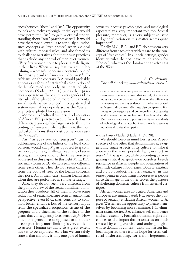ences between "them" and "us". The opportunity to look at ourselves through "their" eyes, would have permitted "us" to gain a critical understanding about "our" practices as well. It would have therefore allowed us to seriously question such concepts as "free choice" when we deal with culture-imposed rules, and also forced us to challenge narratives about our own practices that exclude any control of men over women. «Very few women do it to please a male figure in their lives. When we say that, we are undervaluing a woman's concerns» contends one of the most popular American doctors<sup>49</sup>. To Africans, on the contrary, B.A. would probably appear as «a form of patriarchal colonization of the female mind and body, an unnatural phenomenon» (Nader 1999: 20), just as their practices appear to us. To be sure, every gender identity rule, although rooted in more fundamental social needs, when plunged into a patriarchal system (even if less openly so, as the Western one) gets exploited for oppression!

Moreover, a "cultural immersed" observation of African F.C. practices would have led us to differentiate among their large variety, thus preventing us from essentializing them into the most radical of its forms, thus constructing once again the "savage".

An "integrative comparison" (as R. Schlesinger, one of the fathers of the legal comparison, would call it)<sup>50</sup>, as opposed to a comparison by contrast, finally can lead us to observe strong similarities among the three practices addressed in this paper. In this light M.C., B.A. and many forms of F.C. do not seem very different from each other. They do not seem different from the point of view of the health concerns they pose. All of them carry similar health risks when they are performed in similar settings.

Also, they do not seem very different from the point of view of the sexual fulfillment limitation they produce. All of them involve some reduction of sexual pleasure from an anatomical perspective, even M.C. that, contrary to common belief, entails a loss of the sensory input from the specialized erogenous tissue of the prepuce and a thickness of the surface of the gland that consequently loses sensitivity<sup>51</sup>. How much one procedure as opposed to the other is comparatively more limiting is very difficult to assess. Human sexuality to a great extent has yet to be explored. All what we can safely state is that anatomy is only one part of human

sexuality, because psychological and sociological aspects play a very important role too. Sexual pleasure, moreover, is a very subjective issue and generalization on this matter seems quite improper<sup>52</sup>.

Finally M.C., B.A., and F.C. do not seem very different from each other with regard to the concept of "free choice". In all social settings, gender identity rules do not leave much room for "choice", whatever the dominant narrative says of the West.

# 8. *Conclusions. The call for taking multiculturalism seriously*

Comparison requires comparative consciousness which steers away from comparisons that are only of a dichotomous nature, comparisons that draw on the differences between us and them as evidenced in the Eastern as well as Western discourses. We must also compare to find points of convergence and commonality. Dichotomies tend to stress the unique features of each in which the West not only appears to possess the highest standards of technological apparatus but it also is made to seem as morally and spiritually superior

## warns Laura Nader (Nader 1989: 28).

We should keep in mind her lesson. A perspective of the other that dehumanizes it, exaggerating single aspects of its culture to make it appear in the worst possible light, in short an *orientalist* perspective, while preventing us from gaining a critical perspective on ourselves, breeds resistance in African people and idealization of the inside culture in both parts. Both *orientalism* and its by-product, i.e. *occidentalism*, in this sense operate as controlling processes over people since the image of the other serves the purpose of sheltering domestic culture from internal critique.

African women are subjugated, American and European are emancipated; F.C. serves the purpose of sexually enslaving African women, B.A. gives Westerners the opportunity to please themselves by becoming more feminine; F.C. eliminates sexual desire, B.A. enhances self-confidence and self-esteem… Formalistic human rights discourses tend to impart that lesson, a lesson much resisted by comparativists and anthropologists whose domain is context. Until that lesson has been imparted there is little hope for cross-cultural understanding, for a non-hegemonic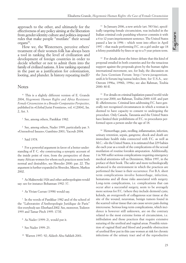approach to the other, and ultimately for the effectiveness of any policy aiming at the liberation from gender-identity culture and politics-imposed rules that make people "mutilate" their sexual organs $53$ .

How we, the Westerners, perceive others' treatment of their women-folk has always been a tool in ranking the level of civilization and development of foreign countries in order to decide whether or not to admit them into the family of civilized nations. A low ranking operated in the past as a justification for colonization, looting, and plunder. Is history repeating itself?

# Notes

\* This is a slightly different version of E. Grande 2004, *Hegemonic Human Rights and Africa Resistance: Female Circumcision in a Broader Comparative Perspective*, published in «Global Jurist Frontiers», vol. 4 [2004], Iss. 2, Art. 3.

<sup>1</sup> See, among others, Panikkar 1982.

<sup>2</sup> See, among others, Nader 1999, particularly par. 3: «Unresolved Issues»; Gambino 2001; Yacoub 2004.

<sup>3</sup> Said 1978.

<sup>4</sup> For a powerful argument in favor of a better understanding of F. C. «by constructing a synoptic account of the inside point of view, from the perspective of those many African women for whom such practices seem both normal and desirable», see Shweder 2000: par. 22. The argument is further expanded in Shweder, Minow, Markus 2002.

<sup>5</sup> As Malinowski 1926 and other anthropologists would say: see for instance Bohannan 1992: 37.

<sup>6</sup> As Vivian Curran (1998) would say.

<sup>7</sup> In the words of Panikkar 1982 and of the school of the "Laboratoire d'Anthropologie Juridique de Paris" (for everybody see: Eberhard 2002. See, moreover, Todorov 1993 and Tamar Pitch 1995: 177ff.

<sup>8</sup> As Nader (1999: 2), would put it.

<sup>9</sup> See Nader 1999: 23.

<sup>10</sup> Warren 1997: 92; Aldeeb Abu-Sahlieh 2001.

 $11$  In January 2006, a new article (art. 583 bis), specifically targeting female circumcision, was included in the Italian criminal code punishing whoever commits it with a 4 to 12 years imprisonment sentence. The United States passed a law in 1996 – which went into effect in April 1997 – that made performing F.C. on a girl under age 18 a felony punishable by fines or up to a 5-year prison term.

<sup>12</sup> For details about the bitter debate that this kind of proposal entailed in both countries and for the tenacious support against the proposals given by the human rights international movement, see, for Italy, the discussion on the Jura Gentium Forum: http://www.juragentium. unifi.it/it/forum/mg/sunna/index.htm; for U.S.A., see: Ostrom 1996a, 1996b, 1996c; see also Rahman, Toubia 2000: 80 ff.

<sup>13</sup> For details on criminal legislation passed world-wide up to year 2000, see Rahman, Toubia 2000: 61ff. and part II: «References». Criminal laws addressing F.C. have generally not recognized circumstances in which a woman is deemed to have capacity to consent to undergoing the procedure. Only Canada, Tanzania and the United States have limited their prohibitions of F.C. to procedures performed upon a person under the age of 18.

<sup>14</sup> Hemorrhage, pain, swelling, inflammation, infection, urinary retention, sepsis, gangrene, shock and death are immediate health risks connected with F.C. as well as M.C.: «In the United States, it is estimated that 229 babies die each year as a result of the complications of the sexual mutilation of routine foreskin amputation. Additionally, 1 in 500 suffer serious complications requiring emergency medical attention» tell us Denniston, Milos 1997, in the preface of their book. The safer and more technologically advanced is the environment in which the practices are performed the lesser is their occurrence. For B.A. short term complications involve hemorrhage, infection, hematoma and all those risks associated with surgery. Long-term complications, i.e. complications that can occur after a successful surgery, seem to be averagely more serious for F.C. (where they include dermoid cysts; keloids, an overgrowth of collagenous scar tissue at the site of the wound; neuromas, benign tumors found in the scarred vulvar tissue that can cause severe pain during intercourse. Serious long-term complications, which incidence is however still unknown, are on the contrary related to the most extreme forms of circumcision, i.e. infibulation and those practices that require extensive suturing of the urethral and vaginal areas. Possible retention of vaginal fluid and blood and possible obstruction of urethral flow put in this case women at risk for chronic infections of the urinary tract and of the reproductive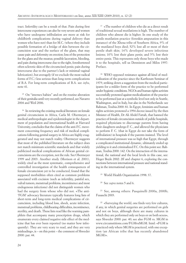tract. Infertility can be a result of that. Pain during first intercourse experiences can also be very severe and women who have undergone infibulation are more at risk for childbirth complications during vaginal delivery than women who have not) than for M.C. (where they include possible formation of a bridge of skin between the circumcision scar and the surface of the glans, that may cause pain and deformity on erection; loss of the protection for the glans and the meatus; possible laceration, bleeding, and pain during intercourse due to the tight, foreshortened often sclerotic skin of the circumcised penis; pain during intercourse due to the partner's lack or minimal vaginal lubrication), but averagely (if we exclude the most radical forms of F.C.) less serious than long-term complications of B.A. For long-term complications of B.A. see *infra*, note 41.

<sup>15</sup> On "intersex babies" and on the routine alteration of their genitalia until very recently performed, see Navarro 2004 and Weil 2006.

<sup>16</sup> In reviewing the existing medical literature on female genital circumcision in Africa, Carla M. Obermeyer, a medical anthropologist and epidemiologist in the department of population and international health at Harvard University, concludes that the claims of the anti-F.C. movement concerning frequency and risk of medical complications following genital surgery in Africa are highly exaggerated and may not match reality. Obermeyer suggests that most of the published literature on the subject does not match minimum scientific standards and that widely publicized medical complications of African genital circumcisions are the exception, not the rule. See Obermeyer 1999 and 2003. Another study (Morison et al. 2001), widely cited as the most systematic, comprehensive and controlled investigation of the health consequences of female circumcision yet to be conducted, found that the supposed morbidities often cited as common problems associated with excision (such as infertility, painful sex, vulval tumors, menstrual problems, incontinence and most endogenous infections) did not distinguish women who had the surgery from whose who did not. «The anti- 'FGM' advocacy literature typically features long lists of short-term and long-term medical complications of circumcision, including blood loss, shock, acute infection, menstrual problems, childbearing difficulties, incontinence, sterility, and death. These lists read like the warning pamphlets that accompany many prescription drugs, which enumerate every claimed negative side effect of the medicine that has ever been reported (no matter how infrequently). They are very scary to read, and they are very misleading», is – on this point – the comment of Shweder 2000: par. 44.

<sup>17</sup> «The number of children who die as a direct result of traditional sexual mutilations is high. The number of children who almost die is higher. In one study of the penile mutilation practice (foreskin amputation in this instance) of the Xhosa tribe of Southern Africa, 9% of the mutilated boys died; 52% lost all or most of their penile shaft skin; 14% developed severe infectious lesions; 10% lost their glans penis; and 5% lost their entire penis. This represents only those boys who made it to the hospital», tell us Denniston and Milos 1997: Preface.

<sup>18</sup> WHO opposed resistance against all kind of medicalization of the practice since the Karthoum Seminar of 1979, striking down a suggestion from the medical participants for a milder form of the practice to be performed under hygienic conditions. NGOs and human rights activists successfully protested against medicalization of the practice to be performed just at a symbolic level not only in Seattle, Washington, and in Italy, but also in the Netherlands: see Rahman, Toubia 2000: 81. In Egypt, feminists and human rights activists protested a 1994 decree issued by the then Minister of Health, Dr Ali Abdel Fattah, that banned the practice of female circumcision outside of public hospitals, required physicians to discourage parents from having their daughters undergo F. C., and allowed the physicians to perform F. C. (that in Egypt do not take the form of infibulation) in hospitals if the parents insisted. The level of international pressure was so high that Egypt, through a complicated institutional dynamic, ultimately ended up yielding to it and criminalized F.C. On this point see: Rahman, Toubia 2000: 142. On the interaction of the international, the national and the local levels in this case, see: Heger Boyle 2002: 2ff and chapter 6, exploring the connections between international pressure and national standing in the international system.

- <sup>19</sup> World Health Organization 1998: 37.
- <sup>20</sup> See *supra* notes 5 and 6.

<sup>21</sup> See, among others: Pasquinelli 2000a, 2000b; Fusaschi 2003.

<sup>22</sup> «Surveying the world, one finds very few cultures, if any, in which genital surgeries are performed on girls and not on boys, although there are many cultures in which they are performed only on boys or on both sexes», says Shweder 2000: par. 40; see also FGM vs. MGM in www.circumstitions.com/FGMvsMGM. html: «FGM is practiced only where MGM is practiced, with one exception (an African tribe that has recently abandoned MGM)».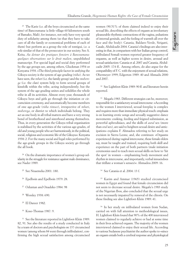<sup>23</sup> The Karis (i.e. all the boys circumcised at the same time) of Bancoumana (a little village 60 kilometers south of Bamako, Mali), for instance, not only have very special duty of solidarity among them (so that they have to take care of all the family or economical problems of each of them) but perform as a group the role of tontigui, i.e. a role similar of that of the prosecutor in our society. See A. Keita, *Au detour des pratiques fonciers à Bancoumana: quelques observations sur le droit malien*, unpublished manuscript. For special legal and social duty performed by the age groups see, among others, Gluckman 1954 or Kenyatta 1938. «The third principle factor in unifying the Gikuyu society is the system of age-grading (*riika*). As we have seen, the *mbari* (i.e. the family group) and the *moherega* (i.e. the clan) system help to form several groups of kinsfolk within the tribe, acting independently; but the system of the age-grading unites and solidifies the whole tribe in all its activities. Almost every year, thousands of Gikuyu boys and girls go through the initiation or circumcision ceremony, and automatically become members of one age-grade (*riika rimwe*), irrespective of *mbari*, *moherega*, or district to which individuals belong. They act as one body in all tribal matters and have a very strong bond of brotherhood and sisterhood among themselves. Thus, in every generation the Gikuyu tribal organisation is stabilised by the activities of the various age-grades, of old and young people who act harmoniously, in the political, social, religious and economic life of the Gikuyu»: Kenyatta 1938: 2. For the many social and legal roles performed by the age-grade groups in the Gikuyu society go through the all book.

<sup>24</sup> On the dramatic importance of women's group solidarity in the struggle for resistance against male dominance, see Nader 1989.

- <sup>25</sup> See Nnaemeka 2001: 180.
- <sup>26</sup> Epelboin and Epelboin 1979: 28.
- <sup>27</sup> Oduntan and Onadeko 1984: 98
- <sup>28</sup> Worsley 1938: 690.
- <sup>29</sup> El Dareer 1982.
- <sup>30</sup> Koso-Thomas 1987: 9.

<sup>31</sup> See the literature reported in Lightfoot-Klein 1989: 82, 91. See also the results of a study conducted in Italy by a team of doctors and psychologists on 137 circumcised women (among whom 84 went through infibulation), confirming the high sexual satisfaction among circumcised

women (90.51% of them claimed indeed to enjoy their sexual life, describing the effects of orgasm as involuntary pleasurable rhythmic contractions of the vagina, pulsations of internal genitals, and the feeling of warmth all over the face and the body): Catania, Baldaro-Verde, Sirigatti, Casale, Abdulcadir 2004. Catania's findings are also interesting in that, in comparison with her Italian group control, infibulated Somali women reported greater frequency of orgasms, as well as higher scores in desire, arousal and sexual satisfaction: Catania et al. 2007 and Catania, Abdulcadir 2005: 174 ff.. Among others, do also argue for the compatibility of F. C. with the enjoyment of sexual relations, Obermeyer 1999; Edgerton 1989: 40 and Ahmadu 2000 and 2007.

<sup>32</sup> See Lightfoot-Klein 1989: 90 ff. and literature herein reported.

<sup>33</sup> Megafu 1983. Different strategies can be, moreover, responsible for a satisfactory sexual intercourse: «According to the women I interviewed, sexual foreplay is complex and requires more than immediate physical touch: emphasis is on learning erotic songs and sexually suggestive dance movements: cooking, feeding and feigned submission, as powerful aphrodisiacs, and the skills of *aural* sex (more than *oral* sex), are said to heighten sexual desire and anticipation» explains F. Ahmadou referring to her study on excision in Sierra Leone, and, she continues: «Orgasms experienced during vaginal intercourse, these female elders say, must be taught and trained, requiring both skill and experience on the part of both partners (male initiation ceremonies used to teach men sexual skills on how to 'hit the spot' in women – emphasizing body movement and rhythm in intercourse, and importantly, verbal innuendoes that titillate a woman's senses)»: Ahmadou 2009: 16.

<sup>34</sup> See Catania et al. 2004: 13 f.

<sup>35</sup> Karim and Ammar (1965) studied circumcised women in Egypt and found that female circumcision did not seem to decrease sexual desire. Megafu's 1983 study of the Nigerian Ibos, also concluded that the sexual urge is not necessarily impaired by removal of the clitoris. On these finding see also Lightfoot-Klein 1989: 41.

<sup>36</sup> In her study on infibulated women from Sudan, carried on with full attention to methodological issues, H. Lightfoot-Klein found that 90% of the 400 interviewed women claimed to regularly achieve or had at some time in their lives achieved orgasm. The majority of the women interviewed claimed to enjoy their sexual life. According to various Sudanese psychiatrist the author spoke to «since an orgasm entails both a cerebral response and physiological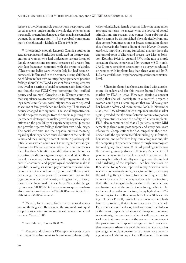responses involving muscle contractions, respiratory and vascular events, and so on, the physiological phenomenon is generally present but damaged or lessened in circumcised women. In compensation, […] the cerebral component may be heightened»: Lightfoot-Klein 1989: 90.

<sup>37</sup> Interestingly enough, Lucrezia Catania's studies on sexual response and attitudes conducted on the new generation of women who had undergone various forms of female circumcisions reported presence of orgasm but with less frequency compared with the group of adults. «These young ladies were living in Italy but had been circumcised / infibulated in their country during childhood. As children in their own country, they experienced positive feelings about FGM/C and a sense of female completeness; they lived in a setting of social acceptance, felt family love and thought that FGM/C was 'something that testified beauty and courage'. Growing up in Western countries, their experience was transformed and given negative meanings: female mutilation, social stigma; they were depicted as victims of family violence and barbarity. Their sense of beauty changed into ugliness. The social stigmatization and the negative messages from the media regarding their 'permanent destroyed' sexuality provoke negative expectations on the possibility of experiencing sexual pleasure and provoke negative feelings about their own body image. The social criticism and the negative cultural meaning regarding their experience cause distortion of their cultural values and they undergo a sort of 'mental / psychological' infibulations which could result in iatrogenic sexual dysfunction. In FMG/C women, when their culture makes them live their 'alteration / modification / mutilation' as a positive condition, orgasm is experienced. When there is a cultural conflict, the frequency of the orgasm is reduced even if anatomical and physiological conditions make it possible. Sexologists should pay attention to sexual education when it is conditioned by cultural influence as it can change the perception of pleasure and can inhibit orgasm», says Lucrezia Catania, writing for the J. Tierney blog of the New York Times: http://tierneylab.blogs. nytimes.com/2008/01/14/the-sexual-consequences-of-anafrican-initation-rite/?ex=1200978000&en=cb6bf3015d1 e04c8&ei =5070&emc=eta1.

<sup>38</sup> Megafu, for instance, finds that premarital coitus among the Nigerian Ibos was on the rise in almost equal proportions among circumcised as well as uncircumcised women: Megafu 1983.

<sup>39</sup> See Rahman, Toubia 2000: 21.

<sup>40</sup> Masters and Johnson's 1966 report observes orgasmic response subsequent to breast manipulation only.

«Physiologically, all female orgasms follow the same reflex response patterns, no matter what the source of sexual stimulation. An orgasm that comes from rubbing the clitoris cannot be distinguished physiologically from one that comes from intercourse or breast stimulation alone» they observe in the fourth edition of their *Human Sexuality textbook*, implying a strong functional analogy from the anatomical point of clitoris and breasts, see: Master, Johnson, Kolodny 1992: 81. Around 75% is the rate of nipple sensation change experienced by women (48% numb, 27.6% more sensitive) according to a survey conducted on women with implants less than three years old by R. L. Larue available on: http://www.implantforum.com/stats. html.

<sup>41</sup> Silicon implants have been associated with autoimmune disorders and for this reason banned from the market by FDA in 1992. However, signing a consent saying that she will participate in a research project, a woman could get a silicon implant that would have given her breast a softer and more natural look. In November 2006, the FDA admitted silicon implants into the market again, provided that the manufacturers continue to sponsor long-term studies about the safety of silicon implants; FDA also recommended that all patients receive MRI screenings three years post-surgery and every two years afterwards. Complications for B.A. range from those connected with the operation itself (hemorrhaging, infections, hematoma, and so forth) to long-term complications, like the hampering of a cancer detection through mammogram (according to J. Reichman, M. D. «depending on the way the mammogram is performed, there is a 25 percent to 35 percent decrease in the visible areas of breast tissue. The view may be further limited by scarring around the implant and hardening of the implant» – see her discussion on B.A. at the Today Show, reported in http://www.allnaturalcurves.com/naturalcurves\_news\_today.html), increasing the risk of getting infections, formation of hypertrophic or keloid scars in the incision, and capsular contracture, that is the hardening of the breast due to the body defense mechanism against the implant of a foreign object. The incidence of capsular contracture, is very high: about 50% (according to Doctor Reichman, but a lower 30% according to Doctor Persoff, *infra*) of the women with implants have this problem, that in its most extreme form (grade IV) entails severe hardness, tenderness and painfulness of the breast. Implant's deflation and disruption, moreover, is a certainty, the question is when it will happen: so far we know that three percent of the women that underwent the procedure had implant leakage within 3 years and that averagely «there is a good chance that a woman has to change her implant once or twice or even more depending on how old she is», says Doctor Reichman. This means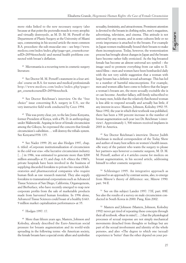more risks linked to the new necessary surgery (also because at that point the pectoralis muscle is «very atrophic and virtually destroyed», as M. D. M. M. Persoff of the Department of Plastic Surgery at the University of Miami says, commenting in his second article the most common B.A. procedure: the sub-muscular one – see http://www. medceu.com/index/index.php?page=get\_course&courseID=2859&nocheck) and mental health problems connected with breast's deflation.

<sup>42</sup> Micromastia is a recurring term in cosmetic surgery literature.

<sup>43</sup> See Doctor M. M. Persoff's statement in a four articles' course on B.A. for nurses and medical professionals http://www.medceu.com/index/index.php?page= get\_course&courseID=2859&nocheck.

<sup>44</sup> See Doctor Reichman's interview. On the "free choice" issue concerning B.A. surgery in U.S., see the very instructive field work conducted by Coco 1994.

<sup>45</sup> This was pretty clear, yet, to the late Jomo Kenyatta, former President of Kenya, with a Ph. D. in anthropology under Malinowski. Arguing in favor of female circumcision among the Gikuyu, he expressed the concern that female circumcision's «abolition…. will destroy the tribal» system. See Kenyatta1938: 135.

<sup>46</sup> See Nader 1999: 20; see also Hodges 1997, chap. 6. titled: «Corporate institutionalization of circumcision in the cold war era»: «the lucrative circumcision industry [...] in 1986, was estimated to generate more than \$200 million annually» at 33; and chap. 6.8: «Since the 1980's, private hospitals have been involved in the business of supplying discarded foreskins to private bio-research laboratories and pharmaceutical companies who require human flesh as raw research material. They also supply foreskins to transnational corporations such as Advanced Tissue Sciences of San Diego, California, Organogenesis, and BioSurface, who have recently emerged to reap new corporate profits from the sale of marketable products made from harvested human foreskins. In 1996 alone, Advanced Tissue Sciences could boast of a healthy \$ 663. 9 million market capitalization performance» at 35.

<sup>47</sup> Hodges 1997: 17.

<sup>48</sup> More than fifteen years ago, Masters, Johnson and Kolodny, already described the Euro-American social pressure for breasts augmentation and its world-wide spreading in the following terms: «In American society, the female breasts have a special erotic allure and symbolize

sexuality, femininity, and attractiveness. Prominent attention is devoted to the breasts in clothing styles, men's magazines, advertising, television, and cinema. This attitude is not universal by any means, and in some cultures little or no erotic importance is attached to the breasts. For example in Japan women traditionally bound their breasts to make them inconspicuous. Today, however, the westernization process has brought about changes in Japan and the breasts have become rather fully eroticized. As the big-breasted female has become an almost universal sex symbol – the image used to promote everything from car sales to Xrated films – men and women have been bombarded daily with the not very subtle suggestion that a woman with large breasts has a definite sexual advantage. This has led to a number of harmful misconceptions. For example, men and women alike have come to believe that the larger a woman's breasts are, the more sexually excitable she is or can become. Another fallacy, still firmly subscribed to by many men, holds that the relatively flatchested woman is less able to respond sexually and actually has little, if any interest in sex»: Masters, Johnson, Kolodny 1992: 55. Since 1992, the year in which their textbook was published, there has been a 300 percent increase in the number of breast augmentation each year (see Dr. Reichman 's interview). Approximately 1, 500 minors received implants in 2003 in America.

<sup>49</sup> See Doctor Reichman's interview. Doctor Judith Reichman is medical correspondent of the Today Show and author of many best sellers on women's health issues. «Be wary of the patient who wants the surgery to please her partner» says however a cosmetic surgeon, M. D. M. M. Persoff, author of a 4 articles course for medceu on breast augmentation, in his second article, addressing himself to other cosmetic surgeons).

<sup>50</sup> Schlesinger 1995. An integrative approach as opposed to an approach by contrast seems, also, to emerge from Minow's theory of difference: see, Minow 1990: part. 94 ff.

<sup>51</sup> See on this subject Lander 1997: 77ff, part. 89ff. See also the results of a survey on male circumcision conducted in South Korea in 2000: Pang, Kim 2002.

<sup>52</sup> Masters and Johnson (Masters, Johnson, Kolodny 1992) never get tired of repeating these concepts through their all textbook. «Bear in mind […] that the physiological processes of sexual response are not simply mechanical movements detached from thoughts or feelings but are part of the sexual involvement and identity of the whole person», and also: «The degree to which one (sexual) experience is 'better' than the other depend on your per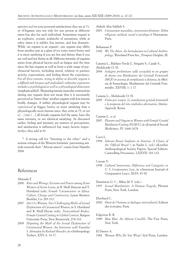spective *and* on your personal satisfaction» they say at 71, or «Orgasms vary not only for one person at different times but also for each individual. Sometimes orgasm is an explosive, ecstatic avalanche of sensations, while at other times it is milder, less intense, and less dramatic. While 'an orgasm is an orgasm', one orgasm may differ from another just as a glass of ice water testes better and it is more satisfying if you are hot and thirsty than if you are cool and not thirsty at all. Different intensity of orgasms arises from physical factors such as fatigue and the time since the last orgasm as well as from a wide range of psychosocial factors, including mood, relation to partner, activity, expectations, and feeling about the experience. *For all these reasons, trying to define or describe orgasm is a difficult task because each individual's subjective experience includes a psychological as well as a physiological dimension* (emphasis added). Measuring intense muscular contractions during one orgasm does not mean that it is necessarily perceived as 'better than' another orgasm with less intense bodily changes. A milder physiological orgasm may be *experienced* as bigger, better, or more satisfying than a physiologically more intense one», they write at 79, or yet «[…] not […] all female orgasms feel the same, have the same intensity, or are identical satisfying. As discussed earlier, feeling and intensity are matters of perceptions, and satisfaction is influenced bay many factors respectively», they add at 81.

<sup>53</sup> A strong call for "listening to the other" and a serious critique of the Western feminists' patronizing attitude towards their "African sisters" comes from Njiambi 2004.

# References

Ahmadu F.

- 2000 *Rites and Wrongs: Excision and Power among Kono Women of Sierra Leone*, in B. Shell-Duncan and Y. Hernlund (eds), *Female 'Circumcision' in Africa: Culture, Change and Controversy*, Lynne Rienner, Boulder, Co: 283-312.
- 2007 *Ain't I a Woman, Too? Challenging Myths of Sexual Dysfunction of Circumcised Women*, in Y. Hernlund and B. Shell-Ducan (eds), *Transcultural Bodies: Female Genital Cutting in Global Context*, Rutgers University Press, New Brunswick: 278-310.
- 2009 *Disputing the Myth of the Sexual Dysfunction of Circumcised Women. An Interview with Fuambai S. Ahmadou by Richard Shweder*, in «Anthropology Today», XXV, 6: 14-17.

Aldeeb Abu-Sahlieh S.

2001 *Circoncision masculine, circoncision féminine. Débat réligieux, médical, social et juridique* L'Harmattan, Paris.

Bohannan P.

1992 *We The Alien. An Introduction to Cultural Anthropology*, Waveland Press Inc., Prospect Heights, Ill.

Catania L., Baldaro-Verde J., Sirigatti S., Casale S.,

Abdulcadir O. H.

2004 *Indagine preliminare sulla sessualità in un gruppo di donne con Mutilazione dei Genitali Femminili (MGF) in assenza di complicanze a distanza*, in «Rivista di Sessuologia. Mutilazione dei Genitali Femminili», XXVIII, 1: 1-17.

Catania L., Abdulcadir O. H.

2005 *Ferite per sempre. Le mutilazioni genitali femminili e la proposta del rito simbolico alternativo*, Derive-Approdi, Roma.

Catania L. *et al.*

2007 *Pleasure and Orgasm in Women with Female Genital Mutilation/Cutting (FGM/C)*, in «Journal of Sexual Medicine», IV: 1666-1678

Coco L.

1994 *Silicone Breast Implants in America: A Choice of the 'Official Breast'?*, in Nader L. (ed.) «Kroeber Anthropological Society Papers, Special Edition: Controlling Processes», LXXVII: 103-132.

#### Curran V.

1998 *Cultural Immersion, Difference and Categories in U. S. Comparative Law*, in «American Journal of Comparative Law», XLVI: 43-92.

Denniston G. C., Milos M. F. (eds.)

1997 *Sexual Mutilations. A Human Tragedy*, Plenum Press, New York, London.

#### Eberhard C.

2002 *Droit de l'homme et dialogue interculturel*, Edition des écrivains, Paris.

Edgerton R. B.

1989 *Mau Mau: An African Crucible*, The Free Press, New York.

El Dareer A.

1982 *Woman Why Do You Weep?* Zed Press, London.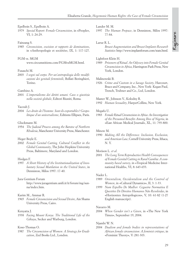#### Epelboin S., Epelboin A.

1979 *Special Report: Female Circumcision*, in «People», VI, 1: 24-29.

#### Fainzang S.

1985 *Circoncision, excision et rapports de dominations*, in «Anthropologie et sociétés», IX, 1: 117-127.

#### FGM vs. MGM

www.circumstitions.com/FGMvsMGM.html.

#### Fusaschi M.

2003 *I segni sul corpo. Per un'antropologia delle modificazioni dei genitali femminili*, Bollati Boringhieri, Torino.

#### Gambino A.

2001 *L'imperialismo dei diritti umani. Caos o giustizia nella società globale*, Editori Riuniti, Roma.

#### Yacoub J.

2004 *Les droits de l'homme. Sont-ils-exportables? Geopolitique d'un universalisme*, Editions Ellipses, Paris.

#### Gluckmann M.

1954 *The Judicial Process among the Barotse of Northern Rhodesia*, Manchester University Press, Manchester.

#### Heger Boyle E.

2002 *Female Genital Cutting. Cultural Conflict in the Global Community*, The John Hopkins University Press, Baltimore, Maryland and London.

#### Hodges F.

1997 *A Short History of the Institutionalization of Involuntary Sexual Mutilation in the United States*, in Denniston, Milos 1997: 17-40.

#### Jura Gentium Forum

http://www.juragentium.unifi.it/it/forum/mg/sunna/index.htm.

#### Karim M., Ammar R.

1965 *Female Circumcision and Sexual Desire*, Ain Shams University Press, Cairo.

#### Kenyatta J.

1938 *Facing Mount Kenya. The Traditional Life of the Gikuyu*, Secker and Warburg, London.

#### Koso-Thomas O.

1987 *The Circumcision of Women: A Strategy for Eradication*, Zed Books Ltd., London.

#### Lander M. M.

1997 *The Human Prepuce*, in Denniston, Milos 1997: 77-84.

#### Larue R. L.

#### Lightfoot-Klein H.

1989 *Prisoners of Ritual. An Odyssey into Female Genital Circumcision in Africa*, Harrington Park Press, New York, London.

#### Malinowski B.

1926 *Crime and Custom in a Savage Society*, Harcourt, Brace and Company, Inc., New York- Kegan Paul, Trench, Trubner and Co., Ltd, London.

Master W., Johnson V., Kolodny R.

1992 *Human Sexuality*, HarperCollins, New York.

#### Megafu U.

1983 *Female Ritual Circumcision in Africa: An Investigation of the Presumed Benefits Among Ibos of Nigeria*, in «East African Medical Journal», XL, 11: 793-800.

#### Minow M.

1990 *Making All the Difference. Inclusion, Exclusion, and American Law*, Cornell University Press, Ithaca, N. Y.

#### Morison L. *et al*.

2001 *The Long Term Reproductive Health Consequences of Female Genital Cutting in Rural Gambia: A community based survey*, in «Tropical Medicine International Health», VI, 8: 643-653.

#### Nader L.

- 1989 *Orientalism, Occidentalism and the Control of Women*, in «Cultural Dynamics», II, 3: 1-33.
- 1999 *Num Espelho De Mulher: Cegueira Normativa E Questões De Direitos Humanos Não Resolvidas*, in «Horizontes Antopólogicos», V, 10: 61-82 (1-27 English manuscript).

#### Navarro M.

2004 *When Gender isn't a Given*, in «The New York Times», September 19, 2004.

Njambi W. N.

2004 *Dualism and female bodies in representations of African female circumcision: A feminist critique*, in «Feminist Theory», V: 281-303.

*Breast Augmentation and Breast Implants Research Statistics*: http://www.implantforum.com/stats.html.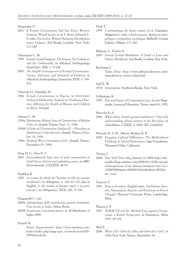#### Nnaemeka O.

2001 *If Female Circumcision Did Not Exist, Western Feminist Would Invent It*, in S. Perry, Schenck C. S. (eds.), *Eye to Eye, Women Practicing Development across Cultures*, Zed Books, London, New York: 171-189.

#### Obermeyer C. M.

- 1999 *Female Genital Surgeries: The Known, The Unknown, and the Unknowable*, in «Medical Anthropology Quarterly», XIII, 1: 79-106.
- 2003 *The Health Consequences of Female Circumcision. Science, Advocacy, and Standards of Evidence*, in «Medical Anthropology Quarterly» XVII, 3: 394- 412.

#### Oduntan O., Onadeko M.

1984 *Female Circumcision in Nigeria*, in *WHO/EMRO Technical Publication: Seminar on Traditional Practices Affecting the Health of Women and Children in Africa*, Senegal.

#### Ostrom C. M.

- 1996a *Harborview Debates Issue of Circumcision of Muslim Girls*, in «Seattle Times», Sept. 13, 1996.
- 1996b *Is Form of Circumcision Outlawed? Procedure at Harborview Under Review*, «Seattle Times», October, 14, 1996.
- 1996c *Hospital Won't Circumcise Girls*, «Seattle Times», December 05, 1996.

#### Pang M. G., Kim D. S.

2002 *Extraordinarily high rates of male circumcision in South Korea: history and underlying causes*, in «BJU International», LXXXIX: 48-54.

#### Panikkar R.

1982 *La notion des droits de l'homme est-elle un concept occidental?*, in «Diogène», n. 120: 87-115, also in English, *Is the notion of human rights a western concept?*, in «Diogenes», XXX, 120: 75-102.

#### Pasquinelli C. (ed)

- 2000a *Antropologia delle mutilazioni genitali femminili. Una ricerca in Italia*, Aidos, Roma
- 2000b *La purezza è una ferita aperta*, in «Il Manifesto», 6 luglio 2000.

#### Persoff M.

*Breast Augmentation:* http://www.medceu.com/ index/index.php?page=get\_course&courseID= 2859&nocheck.

#### Pitch T.

1995 *L'antropologia dei diritti umani*, in A. Giansanti, Maggioni G. (eds), *I diritti nascosti. Approccio antropologico e prospettiva sociologica*, Raffaello Cortina Editore, Milano: 177-202.

Rahman A., Toubia N.

2000 *Female Genital Mutilation. A Guide to Laws and Policies Worldwide*, Zed Books, London, New York.

#### Reichman J.

*Today Show*: http://www.allnaturalcurves.com/ naturalcurves\_news\_today.html.

#### Said E. W.

1978 *Orientalism*, Pantheon Books, New York.

#### Schlesinger R.

1995 *Past and Future of Comparative Law*, Lectio Magistralis, Laurea ad Honorem, Trento, march 8, 1995.

#### Shweder R. A.

2000 *What about 'female genital mutilation'? And why understanding culture matters in the first place*, in «Daedalus», CXXIX, 4, 2000: WL 23666202.

#### Shweder R. A. M., Minow Markus H. R.

2002 *Engaging Cultural Differences: The Multicultural Challenge in Liberal Democracies*, Sage Foundation, Thousand Oaks, California.

#### Tierney J.

2008 *New York Times blog*, January 14, 2008: http://tierneylab.blogs.nytimes.com/2008/01/14/the-sexualconsequences-of-an-african-initation-rite/?ex= 1200978000&en=cb6bf3015d1e04c8&ei=5070&e mc =eta1.

#### Todorov T.

1993 *Nous et les autres*, English trans., *On Human diversity: Nationalism, Racism, and Exoticism in French Thought*, Harvard University Press, Cambridge, Mass.

#### Warren J. P.

1997 *NORM UK and the Medical Case against Circumcision: a British Perspective*, in Denniston, Milos 1997: 85-102.

#### Weil E.

2006 *What if It's (Sort of) a Boy and (Sort of) a Girl?*, in «The New York Times», September 24.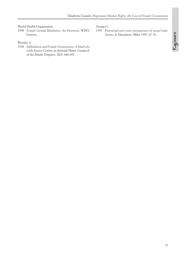World Health Organization

1998 *Female Genital Mutilation: An Overview*, WHO, Geneva.

#### Worsley A.

1938 *Infibulation and Female Circumcision: A Study of a Little-Known Custom*, in «Journal Obstet. Gynaecol. of the British Empire», XLV: 686-691.

Zwang G.

1997 *Functional and erotic consequences of sexual mutilations*, in Denniston, Milos 1997: 67-76.

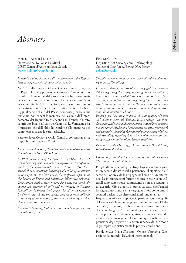# *Abstracts*

MARLÈNE ALBERT-LLORCA Université de Toulouse-Le Mirail LISST-Centre d'Anthropologie Sociale marlene.albert@wanadoo.fr

*Memoria e oblio dei campi di concentramento dei Repubblicani spagnoli nel sud ovest della Francia*

Nel 1939, alla fine della Guerra Civile spagnola, migliaia di Repubblicani oppositori del Generale Franco finirono in esilio in Francia. Sin dal loro arrivo, essi furono internati nei campi e costretti a condizioni di vita molto dure. Sino agli anni Settanta del Novecento, questo inglorioso episodio della storia francese è rimasto praticamente nell'oblio. Oggi, almeno nel sud del Paese, non passa giorno in cui qualcuno non evochi la memoria dell'esilio e dell'internamento dei Repubblicani spagnoli in Francia. Questo contributo, basato sul caso del Campo di Le Vernet, mostra il processo che dall'oblio ha condotto alla memoria dei campi e ne analizza le caratteristiche.

Parole chiave: Memoria; Oblio; Campi di concentramento; Repubblicani spagnoli; Ebrei.

#### *Memory and oblivion of the internment camps of the Spanish Republicans in South-West France*

*In 1939, at the end of the Spanish Civil War, which set Republicans against General Franco partisans, tens of thousands of them flowed into exile in France. Upon their arrival, they were interned in camps where living conditions were very hard. Until the 1970s, this inglorious episode in the history of France had practically fallen into oblivion. Today, in the south at least, never a day passes but somebody evokes the memory of exile and internment of Spanish Republicans in France. This paper - based on the Camp of Le Vernet case - shows the process that leads from oblivion to recovery of the memory of the camps and analyses what characterizes this memory.*

*Key words: Memory; Oblivion; Internment camps; Spanish Republicans; Jews.*

EUGENE COHEN Department of Sociology and Anthropology College of New Jersey, Ewing, New Jersey cohen@tcnj.edu

*Sensible men and serious women: order, disorder, and morality in an Italian village*

*For over a decade, anthropologists engaged in a vigorous debate regarding the utility, meaning, and explanation of honor and shame in Mediterranean communities. There are competing interpretations regarding these cultural constructions, but no consensus. Partly, this is a result of examining honor and shame as discrete domains deriving from more fundamental conditions.*

*In this paper, I examine, in detail, the ethnography of honor and shame in a central (Tuscany) Italian village. I use these data to contend honor and shame are not encapsulated domains, but are part of a wider and fundamental cognitive framework and world view involving the nature of inter-personal relations, understandings regarding the attributes of human nature and an agonistic perception of the human condition.*

*Keywords: Italy (Tuscany); Honor; Shame; World View; Inter-Personal Relations.*

#### *Uomini responsabili e donne serie: ordine, disordine e moralità in una comunità italiana*

Per più di un decennio gli antropologi si sono impegnati in un acceso dibattito sulla pertinenza, il significato e il senso dell'onore e della vergogna nell'area del Mediterraneo. Le interpretazioni fornite per queste costruzioni culturali sono state spesso contrastanti e non si è raggiunto un accordo. Ciò è dipeso, in parte, dal fatto che l'analisi ha riguardato l'onore e la vergogna intesi come ambiti separati derivanti da altre condizioni fondamentali.

In questo contributo, propongo, in particolare, un'etnografia dell'onore e della vergogna presso una comunità dell'Italia centrale (in Toscana). L'obiettivo è mostrare come queste due sfere, lungi dall'essere isolate, vadano invece inserite in un più ampio quadro cognitivo e in una visione del mondo che coinvolge le relazioni interpersonali, la comprensione degli aspetti della natura umana e del suo modo di percepire agonisticamente la propria condizione.

Parole-chiave: Italia (Toscana); Onore; Vergogna; Concezione del mondo; Relazioni interpersonali.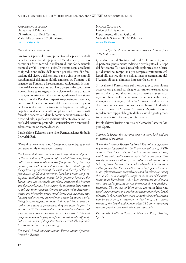ANTONINO CUSUMANO Università di Palermo Dipartimento di Beni Culturali Viale delle Scienze - 90100 Palermo dancus@tiscali.it

#### *Pane al pane e vino al vino*

È noto che il pane e il vino rappresentano due pilastri centrali delle basi alimentari dei popoli del Mediterraneo, essendo entrambi i frutti fecondi e millenari di due fondamentali piante di civiltà: il grano e la vite. In quanto segni eccellenti di riproduzione ciclica della terra e per ciò stesso di rifondazione del vivere e dell'esistere, pane e vino sono simboli paradigmatici dell'indissolubile simbiosi tra l'umano e il vegetale, tra l'umano e il sovraumano. Assicurando la transizione dalla natura alla cultura, il loro consumo ha contribuito a determinare status e gerarchie, a plasmare forme e pratiche rituali, a conferire identità e memoria, a dare ordine e significato al mondo. Per alcuni aspetti in opposizione dialettica, ponendosi il pane sul versante del cotto e il vino su quello del fermentato, l'uno e l'altro sono nella prassi e nella lingua popolare siciliana elementi complementari di un'endiadi formale e concettuale, di un binomio semantico irresistibile e inscindibile, significanti indiscutibilmente diversi ma – a livello delle strutture profonde – sostanzialmente riconducibili ad un comune orizzonte di senso.

Parole chiave: Relazioni pane-vino; Fermentazione; Simboli; Proverbi; Riti.

*"*Pane al pane e vino al vino*". Symbolical meanings of bread and wine in Mediterranean cultures*

*It is known that bread and wine are two fundamental pillars of the basic diet of the peoples of the Mediterranean, being both thousand-year old and fruitful products of two key plants of civilization: wheat and vine. As excellent signs of the cyclical reproduction of the earth and thereby of the refoundation of life and existence, bread and wine are paradigmatic symbols of the indissoluble symbiosis between the human and the vegetable kingdom, between the human and the superhuman. By ensuring the transition from nature to culture, their consumption has contributed to determine status and hierarchy, shape ritual forms and practices, give identity and memory, give order and meaning to the world. Being in some respects in dialectical opposition, as bread is cooked and wine is fermented, they are both, in practice and in the Sicilian vernacular, complementary elements of a formal and conceptual hendiadys, of an irresistible and inseparable semantic pair, significants indisputably different, but – at the level of deep structures – essentially referable to a common horizon of meaning.*

*Key words: Bread-wine connection; Fermentation; Symbols; Proverbs; Rituals.*

NICOLA CUSUMANO Università di Palermo Dipartimento di Beni Culturali Viale delle Scienze - 90100 Palermo remocl@libero.it

#### *Turisti a Sparta: il passato che non torna e l'invenzione della tradizione*

Quando è nato il "turismo culturale"? Di solito il punto di partenza generalmente indicato e privilegiato è l'Europa del Settecento*.* Tuttavia è possibile esplorare altre culture, più distanti nel tempo, ma pur sempre strettamente collegati alla nostra, almeno nell'autorappresentazione dell'*identità* di cui si alimenta il nostro Occidente.

Si focalizzerà l'attenzione sul mondo greco, con alcune osservazioni generali sul viaggio culturale che è alla radice stessa della storiografia: destinato a divenire in seguito un *topos* obbligato nelle dichiarazioni proemiali degli storici, il viaggio, anzi i viaggi, del *pater historiae* Erodoto introducono ad un'esplorazione sottile e ambigua dell'identità greca. Tuttavia, è il "turismo" culturale a Sparta, divenuto rapidamente tappa obbligata della classe dirigente grecoromana, a fornire il caso più interessante.

Parole chiave: Turismo culturale; Memoria; Passato; Origini; Sparta.

#### *Tourists in Sparta: the past that does not come back and the invention of tradition*

*When the "cultural Tourism" is born? The point of departure is generally identified in the European culture of XVIII century. Nevertheless it's possible to examine other cultures, which are historically more remote, but at the same time strictly connected with our, in accordance with the status of "identity" that characterizes Occidental world. The attention will be focalised on the ancient Greece. This paper will reserve some reflections to the cultural travel and his relevance among the Greeks. A meaningful example is the travel of the historians: since Herodotus, it has been considered an element necessary and topical, as we can observe in the proemial declarations. The travels of Herodotus, the* pater historiae*, enable a penetrating and ambiguous exploration of the Greek identity. In the second part of the paper the focus of attention will be on Sparta, a celebrate destination of the cultural travels of the Greek and Roman elite. This town, for many reasons, provides the most attractive case-study.*

*Key words: Cultural Tourism; Memory; Past; Origins; Sparta.*